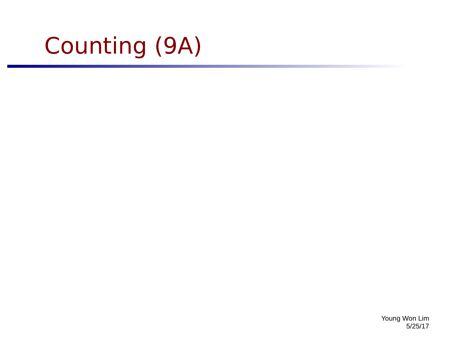# Counting (9A)

Young Won Lim 5/25/17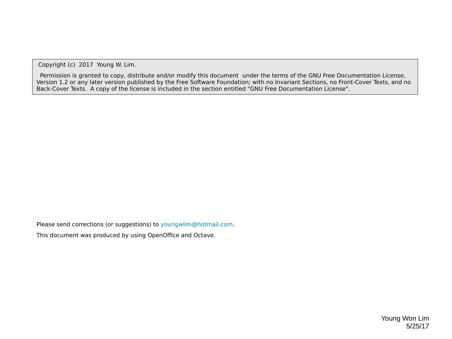Copyright (c) 2017 Young W. Lim.

 Permission is granted to copy, distribute and/or modify this document under the terms of the GNU Free Documentation License, Version 1.2 or any later version published by the Free Software Foundation; with no Invariant Sections, no Front-Cover Texts, and no Back-Cover Texts. A copy of the license is included in the section entitled "GNU Free Documentation License".

Please send corrections (or suggestions) to [youngwlim@hotmail.com](mailto:youngwlim@hotmail.com).

This document was produced by using OpenOffice and Octave.

Young Won Lim 5/25/17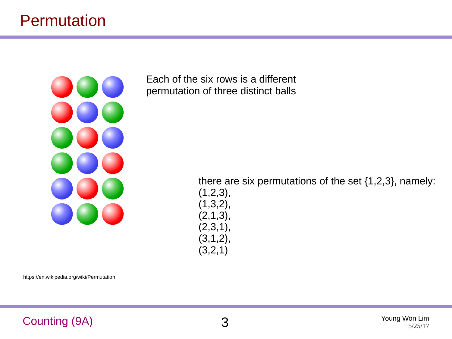### Permutation



Each of the six rows is a different permutation of three distinct balls

> there are six permutations of the set {1,2,3}, namely:  $(1,2,3),$  $(1,3,2),$  $(2,1,3),$  $(2,3,1),$  $(3,1,2),$  $(3,2,1)$

https://en.wikipedia.org/wiki/Permutation

#### Counting (9A) 3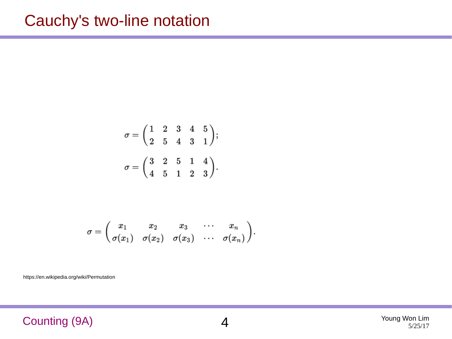### Cauchy's two-line notation

$$
\sigma = \begin{pmatrix} 1 & 2 & 3 & 4 & 5 \\ 2 & 5 & 4 & 3 & 1 \end{pmatrix};
$$

$$
\sigma = \begin{pmatrix} 3 & 2 & 5 & 1 & 4 \\ 4 & 5 & 1 & 2 & 3 \end{pmatrix}.
$$

$$
\sigma=\begin{pmatrix}x_1&x_2&x_3&\cdots&x_n\\\sigma(x_1)&\sigma(x_2)&\sigma(x_3)&\cdots&\sigma(x_n)\end{pmatrix}\!.
$$

https://en.wikipedia.org/wiki/Permutation

#### Counting (9A) 4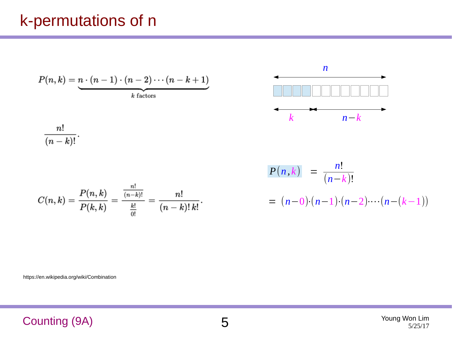# k-permutations of n

$$
P(n,k) = \underbrace{n \cdot (n-1) \cdot (n-2) \cdots (n-k+1)}_{k \text{ factors}}
$$



 $\frac{n!}{(n-k)!}.$ 

$$
C(n,k) = \frac{P(n,k)}{P(k,k)} = \frac{\frac{n!}{(n-k)!}}{\frac{k!}{0!}} = \frac{n!}{(n-k)!\,k!}.
$$

$$
P(n,k) = \frac{n!}{(n-k)!}
$$
  
=  $(n-0) \cdot (n-1) \cdot (n-2) \cdots (n-(k-1))$ 

https://en.wikipedia.org/wiki/Combination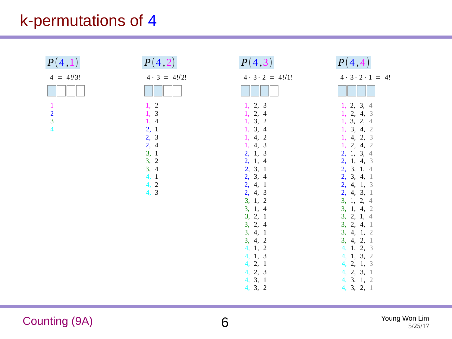# k-permutations of 4

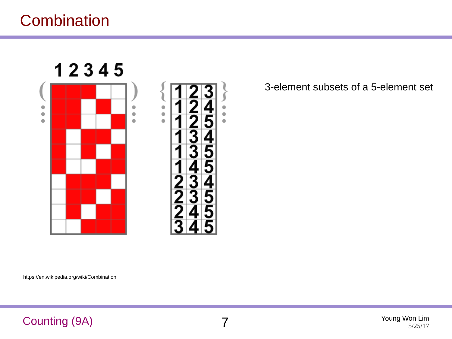# **Combination**



3-element subsets of a 5-element set

https://en.wikipedia.org/wiki/Combination

#### Counting (9A) 7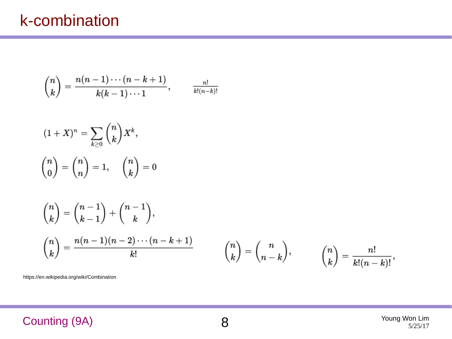$$
\binom{n}{k}=\frac{n(n-1)\cdots(n-k+1)}{k(k-1)\cdots 1},\qquad \frac{n!}{k!(n-k)!}
$$

$$
(1+X)^n = \sum_{k\geq 0} \binom{n}{k} X^k,
$$

$$
\binom{n}{0} = \binom{n}{n} = 1, \quad \binom{n}{k} = 0
$$

$$
\binom{n}{k} = \binom{n-1}{k-1} + \binom{n-1}{k},
$$
\n
$$
\binom{n}{k} = \frac{n(n-1)(n-2)\cdots(n-k+1)}{k!} \qquad \binom{n}{k} = \binom{n}{n-k}, \qquad \binom{n}{k} = \frac{n!}{k!(n-k)!},
$$

https://en.wikipedia.org/wiki/Combination

#### Counting (9A) 8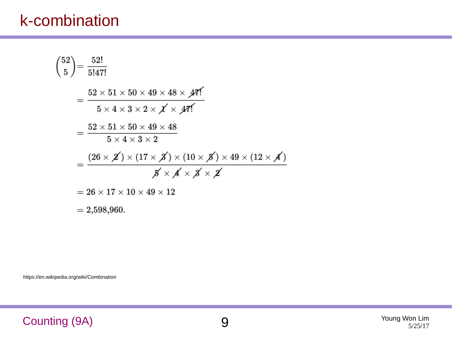# k-combination

https://en.wikipedia.org/wiki/Combination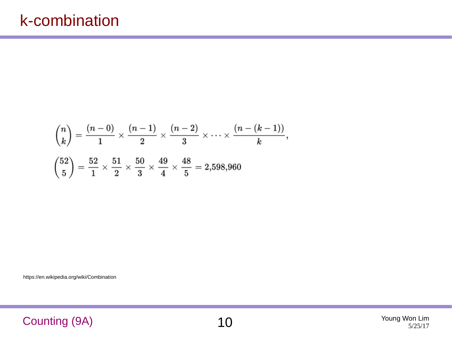$$
\binom{n}{k} = \frac{(n-0)}{1} \times \frac{(n-1)}{2} \times \frac{(n-2)}{3} \times \dots \times \frac{(n-(k-1))}{k},
$$

$$
\binom{52}{5} = \frac{52}{1} \times \frac{51}{2} \times \frac{50}{3} \times \frac{49}{4} \times \frac{48}{5} = 2,598,960
$$

https://en.wikipedia.org/wiki/Combination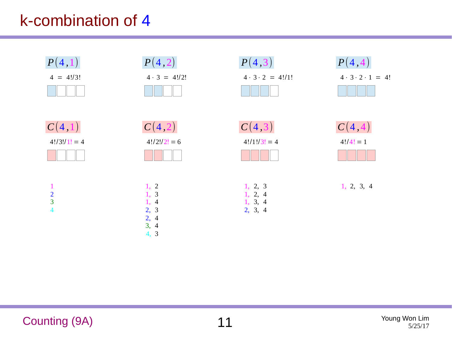# k-combination of 4

| P(4,1)                                                   | P(4,2)                                                                                             | P(4,3)                                   | P(4,4)                           |
|----------------------------------------------------------|----------------------------------------------------------------------------------------------------|------------------------------------------|----------------------------------|
| $4 = 4!/3!$                                              | $4 \cdot 3 = 4!/2!$                                                                                | $4 \cdot 3 \cdot 2 = 4!/1!$              | $4 \cdot 3 \cdot 2 \cdot 1 = 4!$ |
| C(4,1)                                                   | C(4,2)                                                                                             | C(4,3)                                   | C(4,4)                           |
| $4!/3!/1! = 4$                                           | $4!/2!/2! = 6$                                                                                     | $4!/1!/3! = 4$                           | $4!/4! = 1$                      |
| $\mathbf{1}$<br>$\frac{2}{3}$<br>$\overline{\mathbf{4}}$ | 1, 2<br>$\mathbf{3}$<br>1,<br>1,<br>$\overline{4}$<br>2, 3<br>2,<br>$\overline{4}$<br>3, 4<br>4, 3 | 1, 2, 3<br>1, 2, 4<br>1, 3, 4<br>2, 3, 4 | 1, 2, 3, 4                       |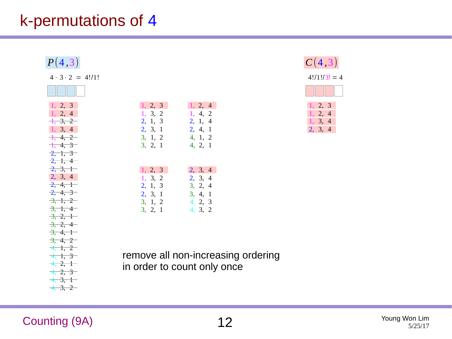# k-permutations of 4

| P(4,3)                                                                                                                                                                                                         |                                                                                              |                                                                   |  |
|----------------------------------------------------------------------------------------------------------------------------------------------------------------------------------------------------------------|----------------------------------------------------------------------------------------------|-------------------------------------------------------------------|--|
| $4 \cdot 3 \cdot 2 = 4!/1!$                                                                                                                                                                                    |                                                                                              |                                                                   |  |
|                                                                                                                                                                                                                |                                                                                              |                                                                   |  |
| 1, 2, 3<br>1, 2, 4<br>$\frac{1}{2}, \frac{3}{2}, \frac{2}{2}$<br>1, 3, 4<br>$\frac{1}{1}$ , 4, 2<br>$\frac{1}{1}$ , 4, 3<br>$\frac{2}{1}, \frac{1}{1}, \frac{3}{1}$<br>$\frac{2}{1}, \frac{1}{1}, \frac{4}{1}$ | 1, 2, 3<br>$1, 3, 2$ $1, 4, 2$<br>2, 1, 3 2, 1, 4<br>2, 3, 1<br>$3, 1, 2$ 4, 1, 2<br>3, 2, 1 | 1, 2, 4<br>2, 4, 1<br>4, 2, 1                                     |  |
| $\frac{2}{2}, \frac{3}{2}, \frac{1}{1}$<br>2, 3, 4<br>$\frac{2}{2}, \frac{4}{1}$<br>$\frac{2}{2}, \frac{4}{3}$<br>$-3, 1, 2$<br>$-3, 1, 4$<br>$-3, 2, 1$<br>$-3, 2, 4$                                         | 1, 2, 3<br>1, 3, 2<br>2, 1, 3 3, 2, 4<br>2, 3, 1<br>$3, 1, 2$ 4, 2, 3<br>3, 2, 1             | 2, 3, 4<br>2, 3, 4<br>3, 4, 1<br>4, 3, 2                          |  |
| $-3, 4, 1$<br>$\frac{1}{3}, \frac{4}{3}, \frac{2}{3}$<br>$\frac{4}{1}$ , $\frac{1}{2}$<br>$\frac{4}{1}$ , $\frac{1}{3}$<br>$-4, 2, 1$<br>$-4, 2, 3$<br>$-4, 3, 1$<br>$-4, -3, -2$                              |                                                                                              | remove all non-increasing ordering<br>in order to count only once |  |



#### **Counting (9A)** 12 Young Won Lim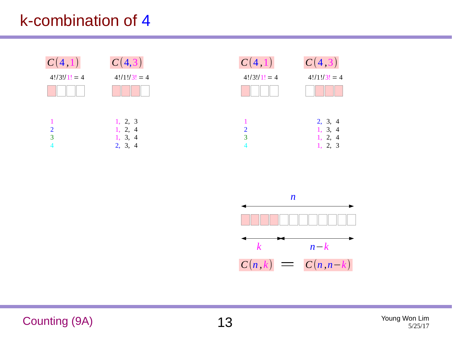# k-combination of 4





Counting (9A) 13 Young Won Lim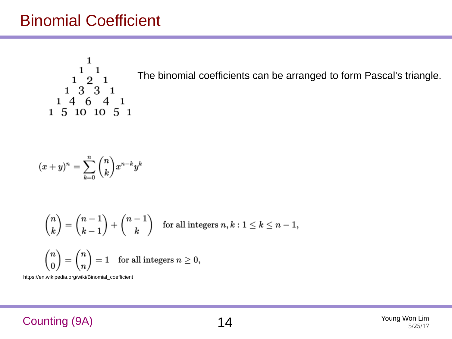1  $\mathbf{1}$  $\mathbf{1}$ The binomial coefficients can be arranged to form Pascal's triangle. $2<sub>1</sub>$  $\begin{smallmatrix}1&&5\\4&&6\\4&&6\end{smallmatrix}$  $\mathbf{1}$  $\mathbf{1}$  $1\;\; 5\;\; 10\;\; 10\;\; 5\;\; 1$ 

$$
(x+y)^n=\sum_{k=0}^n\binom{n}{k}x^{n-k}y^k
$$

$$
\binom{n}{k} = \binom{n-1}{k-1} + \binom{n-1}{k} \quad \text{for all integers } n, k: 1 \leq k \leq n-1,
$$

$$
\binom{n}{0} = \binom{n}{n} = 1 \quad \text{for all integers } n \geq 0,
$$

https://en.wikipedia.org/wiki/Binomial\_coefficient

#### Counting (9A) 14 Young Won Lim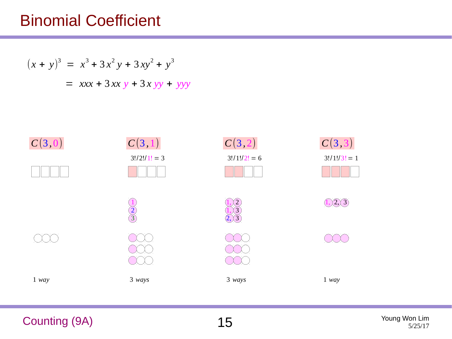$$
(x + y)3 = x3 + 3x2y + 3xy2 + y3
$$
  
=  $xxx + 3xxy + 3xyy + yyy$ 



Counting (9A) 15 Young Won Lim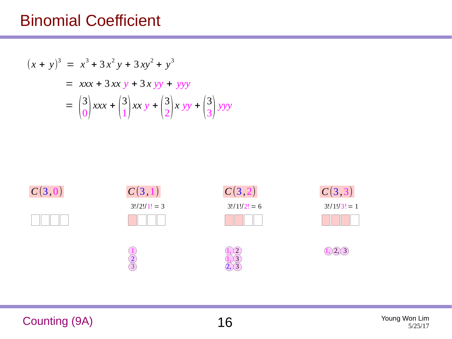$$
(x + y)3 = x3 + 3x2y + 3xy2 + y3
$$
  
=  $xxx + 3xxy + 3xyy + yyy$   
=  $\binom{3}{0}xxx + \binom{3}{1}xxy + \binom{3}{2}xyy + \binom{3}{3}yyy$ 



Counting (9A) 16 Young Won Lim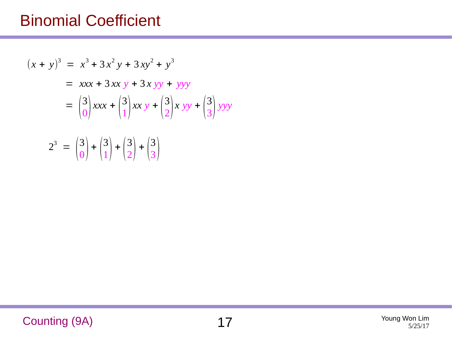$$
(x + y)3 = x3 + 3x2y + 3xy2 + y3
$$
  
= xxx + 3xx y + 3xyy + yyy  
=  $\binom{3}{0}$ xx +  $\binom{3}{1}$ xx y +  $\binom{3}{2}$ xyy +  $\binom{3}{3}$ yyy  

$$
23 = \binom{3}{0} + \binom{3}{1} + \binom{3}{2} + \binom{3}{3}
$$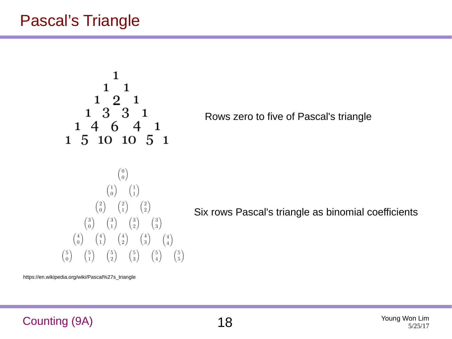## Pascal's Triangle

$$
\begin{smallmatrix}&&&1\\&&1&1\\1&&2&1\\1&3&3&1\\1&4&6&4&1\\1&5&10&10&5&1\end{smallmatrix}
$$

Rows zero to five of Pascal's triangle

$$
\begin{pmatrix}\n0 \\
0 \\
0\n\end{pmatrix}
$$
\n
$$
\begin{pmatrix}\n1 \\
0 \\
0\n\end{pmatrix}\n\begin{pmatrix}\n1 \\
1 \\
1\n\end{pmatrix}
$$
\n
$$
\begin{pmatrix}\n2 \\
0 \\
0\n\end{pmatrix}\n\begin{pmatrix}\n2 \\
1 \\
0\n\end{pmatrix}\n\begin{pmatrix}\n2 \\
2\n\end{pmatrix}\n\begin{pmatrix}\n3 \\
3\n\end{pmatrix}
$$
\n
$$
\begin{pmatrix}\n4 \\
0\n\end{pmatrix}\n\begin{pmatrix}\n4 \\
1\n\end{pmatrix}\n\begin{pmatrix}\n4 \\
2\n\end{pmatrix}\n\begin{pmatrix}\n4 \\
3\n\end{pmatrix}\n\begin{pmatrix}\n4 \\
4\n\end{pmatrix}
$$
\n
$$
\begin{pmatrix}\n5 \\
0\n\end{pmatrix}\n\begin{pmatrix}\n5 \\
1\n\end{pmatrix}\n\begin{pmatrix}\n5 \\
2\n\end{pmatrix}\n\begin{pmatrix}\n5 \\
3\n\end{pmatrix}\n\begin{pmatrix}\n5 \\
4\n\end{pmatrix}\n\begin{pmatrix}\n5 \\
5\n\end{pmatrix}
$$

Six rows Pascal's triangle as binomial coefficients

https://en.wikipedia.org/wiki/Pascal%27s\_triangle

Counting (9A) 18 Young Won Lim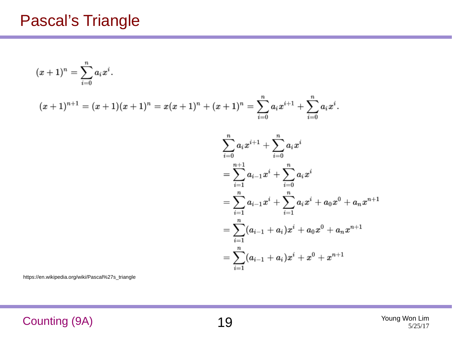### Pascal's Triangle

$$
(x+1)^n=\sum_{i=0}^n a_ix^i.
$$

$$
(x+1)^{n+1}=(x+1)(x+1)^n=x(x+1)^n+(x+1)^n=\sum_{i=0}^n a_ix^{i+1}+\sum_{i=0}^n a_ix^i.
$$

$$
\begin{aligned} &\sum_{i=0}^n a_i x^{i+1} + \sum_{i=0}^n a_i x^i \\ &= \sum_{i=1}^{n+1} a_{i-1} x^i + \sum_{i=0}^n a_i x^i \\ &= \sum_{i=1}^n a_{i-1} x^i + \sum_{i=1}^n a_i x^i + a_0 x^0 + a_n x^{n+1} \\ &= \sum_{i=1}^n (a_{i-1} + a_i) x^i + a_0 x^0 + a_n x^{n+1} \\ &= \sum_{i=1}^n (a_{i-1} + a_i) x^i + x^0 + x^{n+1} \end{aligned}
$$

https://en.wikipedia.org/wiki/Pascal%27s\_triangle

Counting (9A) 19 Young Won Lim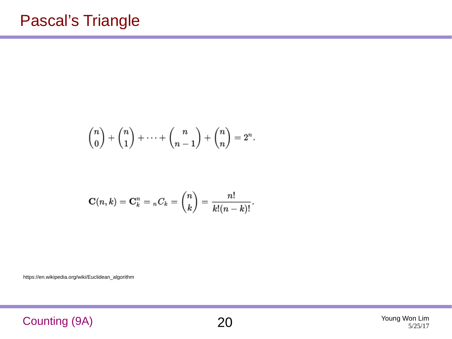$$
\binom{n}{0} + \binom{n}{1} + \cdots + \binom{n}{n-1} + \binom{n}{n} = 2^n.
$$

$$
\mathbf{C}(n,k)=\mathbf{C}_k^n = {}_nC_k = \binom{n}{k} = \frac{n!}{k!(n-k)!}.
$$

https://en.wikipedia.org/wiki/Euclidean\_algorithm

Counting (9A) 20 Young Won Lim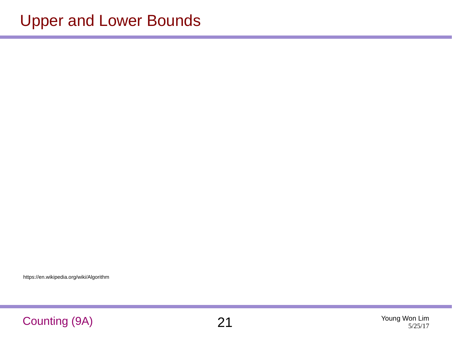https://en.wikipedia.org/wiki/Algorithm

#### Counting (9A) 21 Young Won Lim